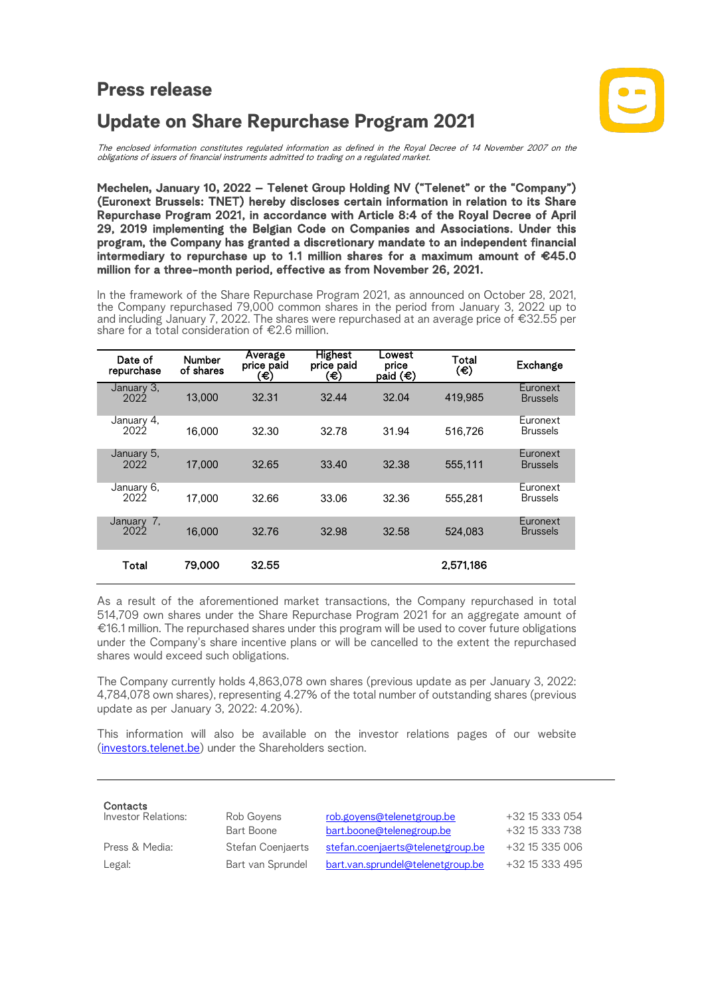## **Press release**

Ι



## **Update on Share Repurchase Program 2021**

The enclosed information constitutes regulated information as defined in the Royal Decree of 14 November 2007 on the<br>obligations of issuers of financial instruments admitted to trading on a regulated market.

**Mechelen, January 10, 2022** – Telenet Group Holding NV ("Telenet" or the "Company") (Euronext Brussels: TNET) hereby discloses certain information in relation to its Share Repurchase Program 2021, in accordance with Article 8:4 of the Royal Decree of April 29, 2019 implementing the Belgian Code on Companies and Associations. Under this program, the Company has granted a discretionary mandate to an independent financial intermediary to repurchase up to 1.1 million shares for a maximum amount of  $€45.0$ million for a three-month period, effective as from November 26, 2021.

In the framework of the Share Repurchase Program 2021, as announced on October 28, 2021,<br>the Company repurchased 79,000 common shares in the period from January 3, 2022 up to and including January 7, 2022. The shares were repurchased at an average price of €32.55 per share for a total consideration of  $\epsilon$ 2.6 million.

| Date of<br>repurchase | <b>Number</b><br>of shares | Average<br>price paid<br>(€) | <b>Highest</b><br>price paid<br>(€) | Lowest<br>price<br>paid (€) | Total<br>(€) | Exchange                    |
|-----------------------|----------------------------|------------------------------|-------------------------------------|-----------------------------|--------------|-----------------------------|
| January 3,<br>2022    | 13.000                     | 32.31                        | 32.44                               | 32.04                       | 419.985      | Euronext<br><b>Brussels</b> |
| January 4,<br>2022    | 16.000                     | 32.30                        | 32.78                               | 31.94                       | 516.726      | Euronext<br><b>Brussels</b> |
| January 5,<br>2022    | 17.000                     | 32.65                        | 33.40                               | 32.38                       | 555.111      | Euronext<br><b>Brussels</b> |
| January 6,<br>2022    | 17.000                     | 32.66                        | 33.06                               | 32.36                       | 555,281      | Euronext<br><b>Brussels</b> |
| January 7,<br>2022    | 16.000                     | 32.76                        | 32.98                               | 32.58                       | 524.083      | Euronext<br><b>Brussels</b> |
| Total                 | 79,000                     | 32.55                        |                                     |                             | 2,571,186    |                             |

As a result of the aforementioned market transactions, the Company repurchased in total 514,709 own shares under the Share Repurchase Program 2021 for an aggregate amount of €16.1 million. The repurchased shares under this program will be used to cover future obligations under the Company's share incentive plans or will be cancelled to the extent the repurchased shares would exceed such obligations.

The Company currently holds 4,863,078 own shares (previous update as per January 3, 2022: 4,784,078 own shares), representing 4.27% of the total number of outstanding shares (previous update as per January 3, 2022: 4.20%).

This information will also be available on the investor relations pages of our website (investors.telenet.be) under the Shareholders section.

| Contacts<br>Investor Relations: | Rob Govens        | rob.goyens@telenetgroup.be        | +32 15 333 054 |
|---------------------------------|-------------------|-----------------------------------|----------------|
|                                 | Bart Boone        | bart.boone@telenegroup.be         | +32 15 333 738 |
| Press & Media:                  | Stefan Coenjaerts | stefan.coenjaerts@telenetgroup.be | +32 15 335 006 |
| Legal:                          | Bart van Sprundel | bart.van.sprundel@telenetgroup.be | +32 15 333 495 |